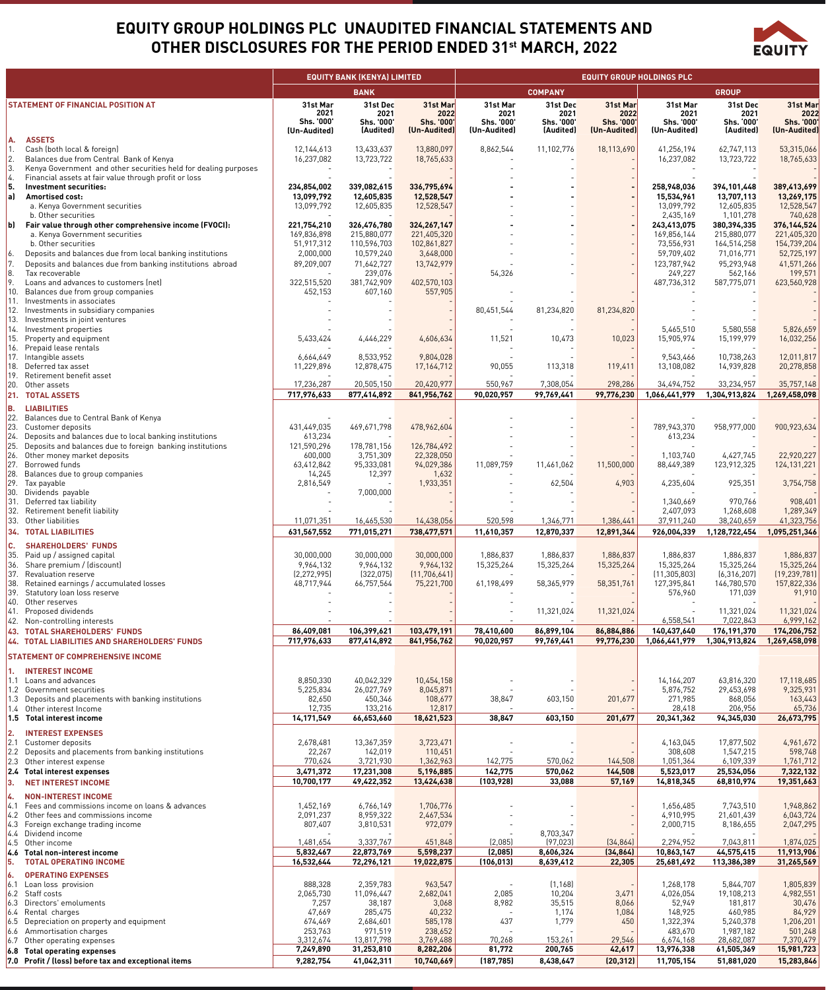## **EQUITY GROUP HOLDINGS PLC UNAUDITED FINANCIAL STATEMENTS AND OTHER DISCLOSURES FOR THE PERIOD ENDED 31st MARCH, 2022**



|          |                                                                                                                              |                           | <b>EQUITY BANK (KENYA) LIMITED</b> |                            |                          |                          | EQUITY GROUP HOLDINGS PLC |                              |                              |                              |
|----------|------------------------------------------------------------------------------------------------------------------------------|---------------------------|------------------------------------|----------------------------|--------------------------|--------------------------|---------------------------|------------------------------|------------------------------|------------------------------|
|          |                                                                                                                              |                           | <b>BANK</b>                        |                            |                          | <b>COMPANY</b>           |                           |                              | <b>GROUP</b>                 |                              |
|          | <b>STATEMENT OF FINANCIAL POSITION AT</b>                                                                                    | 31st Mar<br>2021          | 31st Dec<br>2021                   | 31st Mar<br>2022           | 31st Mar<br>2021         | 31st Dec<br>2021         | 31st Mar<br>2022          | 31st Mar<br>2021             | 31st Dec<br>2021             | 31st Mar<br>2022             |
|          |                                                                                                                              | Shs. '000'                | Shs. '000'                         | Shs. '000'                 | Shs. '000'               | Shs. '000'               | Shs. '000'                | Shs. '000'                   | Shs. '000'                   | Shs. '000'                   |
|          | <b>ASSETS</b>                                                                                                                | (Un-Audited)              | (Audited)                          | (Un-Audited)               | (Un-Audited)             | (Audited)                | (Un-Audited)              | (Un-Audited)                 | (Audited)                    | (Un-Audited)                 |
| А.<br>1. | Cash (both local & foreign)                                                                                                  | 12,144,613                | 13,433,637                         | 13.880.097                 | 8,862,544                | 11,102,776               | 18,113,690                | 41,256,194                   | 62,747,113                   | 53,315,066                   |
|          | Balances due from Central Bank of Kenya                                                                                      | 16,237,082                | 13,723,722                         | 18,765,633                 |                          |                          |                           | 16,237,082                   | 13,723,722                   | 18,765,633                   |
| 3.       | Kenya Government and other securities held for dealing purposes                                                              |                           |                                    |                            |                          |                          |                           |                              |                              |                              |
| 5.       | Financial assets at fair value through profit or loss<br>Investment securities:                                              | 234,854,002               | 339,082,615                        | 336,795,694                |                          |                          |                           | 258,948,036                  | 394,101,448                  | 389,413,699                  |
| a)       | Amortised cost:                                                                                                              | 13,099,792                | 12,605,835                         | 12,528,547                 |                          |                          |                           | 15,534,961                   | 13,707,113                   | 13,269,175                   |
|          | a. Kenya Government securities                                                                                               | 13,099,792                | 12,605,835                         | 12,528,547                 |                          |                          |                           | 13,099,792                   | 12,605,835                   | 12,528,547                   |
| b)       | b. Other securities<br>Fair value through other comprehensive income (FVOCI):                                                | 221,754,210               | 326,476,780                        | 324,267,147                |                          |                          |                           | 2,435,169<br>243,413,075     | 1,101,278<br>380,394,335     | 740,628<br>376, 144, 524     |
|          | a. Kenya Government securities                                                                                               | 169,836,898               | 215,880,077                        | 221,405,320                |                          |                          |                           | 169,856,144                  | 215,880,077                  | 221,405,320                  |
|          | b. Other securities                                                                                                          | 51,917,312                | 110,596,703                        | 102,861,827                |                          |                          |                           | 73,556,931                   | 164,514,258                  | 154,739,204                  |
| 6.       | Deposits and balances due from local banking institutions                                                                    | 2,000,000                 | 10,579,240                         | 3,648,000                  |                          |                          |                           | 59,709,402                   | 71,016,771                   | 52,725,197                   |
| 7.<br>8. | Deposits and balances due from banking institutions abroad<br>Tax recoverable                                                | 89,209,007                | 71,642,727<br>239,076              | 13,742,979                 | 54,326                   |                          |                           | 123,787,942<br>249,227       | 95,293,948<br>562,166        | 41,571,266<br>199,571        |
| 9.       | Loans and advances to customers (net)                                                                                        | 322,515,520               | 381,742,909                        | 402,570,103                |                          |                          |                           | 487,736,312                  | 587,775,071                  | 623,560,928                  |
| 10.      | Balances due from group companies                                                                                            | 452,153                   | 607,160                            | 557,905                    |                          |                          |                           |                              |                              |                              |
|          | 11. Investments in associates<br>12. Investments in subsidiary companies                                                     |                           |                                    |                            | 80,451,544               | 81,234,820               | 81,234,820                |                              |                              |                              |
| 13.      | Investments in joint ventures                                                                                                |                           |                                    |                            |                          |                          |                           |                              |                              |                              |
| 14.      | Investment properties                                                                                                        |                           |                                    |                            |                          |                          |                           | 5,465,510                    | 5,580,558                    | 5,826,659                    |
| 15.      | Property and equipment<br>16. Prepaid lease rentals                                                                          | 5,433,424                 | 4,446,229                          | 4,606,634                  | 11,521                   | 10,473                   | 10,023                    | 15,905,974                   | 15,199,979                   | 16,032,256                   |
|          | 17. Intangible assets                                                                                                        | 6,664,649                 | 8,533,952                          | 9,804,028                  |                          |                          |                           | 9,543,466                    | 10,738,263                   | 12,011,817                   |
|          | 18. Deferred tax asset                                                                                                       | 11,229,896                | 12,878,475                         | 17, 164, 712               | 90,055                   | 113,318                  | 119,411                   | 13,108,082                   | 14,939,828                   | 20,278,858                   |
|          | 19. Retirement benefit asset<br>20. Other assets                                                                             | 17,236,287                | 20,505,150                         | 20,420,977                 | 550,967                  | 7,308,054                | 298,286                   | 34,494,752                   | 33,234,957                   | 35,757,148                   |
|          | 21. TOTAL ASSETS                                                                                                             | 717,976,633               | 877,414,892                        | 841,956,762                | 90,020,957               | 99,769,441               | 99,776,230                | 1,066,441,979                | 1,304,913,824                | 1,269,458,098                |
| В.       | <b>LIABILITIES</b>                                                                                                           |                           |                                    |                            |                          |                          |                           |                              |                              |                              |
| 22.      | Balances due to Central Bank of Kenya                                                                                        |                           |                                    |                            |                          |                          |                           |                              |                              |                              |
|          | 23. Customer deposits                                                                                                        | 431,449,035               | 469,671,798                        | 478,962,604                |                          |                          |                           | 789,943,370                  | 958,977,000                  | 900, 923, 634                |
|          | 24. Deposits and balances due to local banking institutions<br>25. Deposits and balances due to foreign banking institutions | 613,234<br>121,590,296    |                                    | 126,784,492                |                          |                          |                           | 613,234                      |                              |                              |
|          | 26. Other money market deposits                                                                                              | 600,000                   | 178,781,156<br>3,751,309           | 22,328,050                 |                          |                          |                           | 1,103,740                    | 4,427,745                    | 22,920,227                   |
|          | 27. Borrowed funds                                                                                                           | 63,412,842                | 95,333,081                         | 94,029,386                 | 11,089,759               | 11,461,062               | 11,500,000                | 88,449,389                   | 123,912,325                  | 124, 131, 221                |
|          | 28. Balances due to group companies                                                                                          | 14,245                    | 12,397                             | 1,632                      |                          |                          |                           |                              |                              |                              |
| 29.      | Tax payable<br>30. Dividends payable                                                                                         | 2,816,549                 | 7,000,000                          | 1,933,351                  |                          | 62,504                   | 4,903                     | 4,235,604                    | 925,351                      | 3,754,758                    |
| 31.      | Deferred tax liability                                                                                                       |                           |                                    |                            |                          |                          |                           | 1,340,669                    | 970,766                      | 908,401                      |
|          | 32. Retirement benefit liability                                                                                             |                           |                                    |                            |                          |                          |                           | 2,407,093                    | 1,268,608                    | 1,289,349                    |
|          | 33. Other liabilities<br><b>34. TOTAL LIABILITIES</b>                                                                        | 11,071,351<br>631,567,552 | 16,465,530<br>771,015,271          | 14,438,056<br>738,477,571  | 520,598<br>11,610,357    | 1,346,771<br>12,870,337  | 1,386,441<br>12,891,344   | 37,911,240<br>926,004,339    | 38,240,659<br>1,128,722,454  | 41,323,756<br>1,095,251,346  |
|          |                                                                                                                              |                           |                                    |                            |                          |                          |                           |                              |                              |                              |
| c.       | <b>SHAREHOLDERS' FUNDS</b><br>35. Paid up / assigned capital                                                                 | 30,000,000                | 30,000,000                         | 30,000,000                 | 1,886,837                | 1,886,837                | 1,886,837                 | 1,886,837                    | 1,886,837                    | 1,886,837                    |
|          | 36. Share premium / (discount)                                                                                               | 9,964,132                 | 9,964,132                          | 9,964,132                  | 15,325,264               | 15,325,264               | 15,325,264                | 15,325,264                   | 15,325,264                   | 15,325,264                   |
|          | 37. Revaluation reserve                                                                                                      | [2, 272, 995]             | (322, 075)                         | (11, 706, 641)             |                          |                          |                           | (11, 305, 803)               | (6,316,207)                  | (19, 239, 781)               |
|          | 38. Retained earnings / accumulated losses<br>39. Statutory loan loss reserve                                                | 48,717,944                | 66,757,564                         | 75,221,700                 | 61,198,499               | 58,365,979               | 58,351,761                | 127,395,841<br>576,960       | 146,780,570<br>171,039       | 157,822,336<br>91,910        |
|          | 40. Other reserves                                                                                                           |                           |                                    |                            |                          |                          |                           |                              |                              |                              |
|          | 41. Proposed dividends                                                                                                       |                           |                                    |                            | $\overline{\phantom{a}}$ | 11,321,024               | 11,321,024                |                              | 11,321,024                   | 11,321,024                   |
|          | 42. Non-controlling interests                                                                                                |                           |                                    |                            |                          |                          |                           | 6,558,541                    | 7,022,843                    | 6,999,162                    |
|          | <b>43. TOTAL SHAREHOLDERS' FUNDS</b><br>44. TOTAL LIABILITIES AND SHAREHOLDERS' FUNDS                                        | 86,409,081<br>717,976,633 | 106,399,621<br>877,414,892         | 103,479,191<br>841,956,762 | 78,410,600<br>90,020,957 | 86,899,104<br>99,769,441 | 86,884,886<br>99,776,230  | 140,437,640<br>1,066,441,979 | 176,191,370<br>1,304,913,824 | 174,206,752<br>1,269,458,098 |
|          |                                                                                                                              |                           |                                    |                            |                          |                          |                           |                              |                              |                              |
|          | <b>STATEMENT OF COMPREHENSIVE INCOME</b>                                                                                     |                           |                                    |                            |                          |                          |                           |                              |                              |                              |
|          | 1. INTEREST INCOME                                                                                                           |                           |                                    |                            |                          |                          |                           |                              |                              |                              |
|          | 1.1 Loans and advances<br>1.2 Government securities                                                                          | 8,850,330<br>5,225,834    | 40,042,329<br>26,027,769           | 10,454,158<br>8,045,871    |                          |                          |                           | 14,164,207<br>5,876,752      | 63,816,320<br>29,453,698     | 17,118,685<br>9,325,931      |
|          | 1.3 Deposits and placements with banking institutions                                                                        | 82,650                    | 450,346                            | 108,677                    | 38,847                   | 603,150                  | 201,677                   | 271,985                      | 868,056                      | 163,443                      |
|          | 1.4 Other interest Income                                                                                                    | 12,735                    | 133,216                            | 12,817                     |                          |                          |                           | 28,418                       | 206,956                      | 65,736                       |
|          | 1.5 Total interest income                                                                                                    | 14,171,549                | 66,653,660                         | 18,621,523                 | 38,847                   | 603,150                  | 201,677                   | 20,341,362                   | 94,345,030                   | 26,673,795                   |
| 2.       | <b>INTEREST EXPENSES</b>                                                                                                     |                           |                                    |                            |                          |                          |                           |                              |                              |                              |
|          | 2.1 Customer deposits<br>2.2 Deposits and placements from banking institutions                                               | 2,678,481<br>22,267       | 13,367,359<br>142,019              | 3,723,471<br>110,451       |                          |                          |                           | 4,163,045<br>308,608         | 17,877,502<br>1,547,215      | 4,961,672<br>598,748         |
|          | 2.3 Other interest expense                                                                                                   | 770,624                   | 3,721,930                          | 1,362,963                  | 142,775                  | 570,062                  | 144,508                   | 1,051,364                    | 6,109,339                    | 1,761,712                    |
|          | 2.4 Total interest expenses                                                                                                  | 3,471,372                 | 17,231,308                         | 5,196,885                  | 142,775                  | 570,062                  | 144,508                   | 5,523,017                    | 25,534,056                   | 7,322,132                    |
| 3.       | <b>NET INTEREST INCOME</b>                                                                                                   | 10,700,177                | 49,422,352                         | 13,424,638                 | (103,928)                | 33,088                   | 57,169                    | 14,818,345                   | 68,810,974                   | 19,351,663                   |
| 4.       | <b>NON-INTEREST INCOME</b>                                                                                                   |                           |                                    |                            |                          |                          |                           |                              |                              |                              |
|          | 4.1 Fees and commissions income on loans & advances                                                                          | 1,452,169                 | 6,766,149                          | 1,706,776                  |                          |                          |                           | 1,656,485                    | 7,743,510                    | 1,948,862                    |
|          | 4.2 Other fees and commissions income<br>4.3 Foreign exchange trading income                                                 | 2,091,237<br>807,407      | 8,959,322<br>3,810,531             | 2,467,534<br>972,079       |                          |                          |                           | 4,910,995<br>2,000,715       | 21,601,439<br>8,186,655      | 6,043,724<br>2,047,295       |
|          | 4.4 Dividend income                                                                                                          |                           |                                    |                            |                          | 8,703,347                |                           |                              |                              |                              |
|          | 4.5 Other income                                                                                                             | 1,481,654                 | 3,337,767                          | 451,848                    | (2,085)                  | (97, 023)                | (34, 864)                 | 2,294,952                    | 7,043,811                    | 1,874,025                    |
|          | 4.6 Total non-interest income<br><b>TOTAL OPERATING INCOME</b>                                                               | 5,832,467<br>16,532,644   | 22,873,769<br>72,296,121           | 5,598,237<br>19,022,875    | (2,085)<br>(106,013)     | 8,606,324<br>8,639,412   | (34, 864)<br>22,305       | 10,863,147<br>25,681,492     | 44,575,415<br>113,386,389    | 11,913,906<br>31,265,569     |
| 5.       |                                                                                                                              |                           |                                    |                            |                          |                          |                           |                              |                              |                              |
|          | <b>6. OPERATING EXPENSES</b><br>6.1 Loan loss provision                                                                      | 888,328                   | 2,359,783                          | 963,547                    | $\overline{\phantom{a}}$ | (1, 168)                 |                           | 1,268,178                    | 5,844,707                    | 1,805,839                    |
|          | 6.2 Staff costs                                                                                                              | 2,065,730                 | 11,096,447                         | 2,682,041                  | 2,085                    | 10,204                   | 3,471                     | 4,026,054                    | 19,108,213                   | 4,982,551                    |
|          | 6.3 Directors' emoluments                                                                                                    | 7,257                     | 38,187                             | 3,068                      | 8,982                    | 35,515                   | 8,066                     | 52,949                       | 181,817                      | 30,476                       |
|          | 6.4 Rental charges<br>6.5 Depreciation on property and equipment                                                             | 47,669<br>674,469         | 285,475<br>2,684,601               | 40,232<br>585,178          | 437                      | 1,174<br>1,779           | 1,084<br>450              | 148,925<br>1,322,394         | 460,985<br>5,240,378         | 84,929<br>1,206,201          |
|          | 6.6 Ammortisation charges                                                                                                    | 253,763                   | 971,519                            | 238,652                    |                          |                          |                           | 483,670                      | 1,987,182                    | 501,248                      |
|          | 6.7 Other operating expenses                                                                                                 | 3,312,674                 | 13,817,798                         | 3,769,488                  | 70,268                   | 153,261                  | 29,546                    | 6,674,168                    | 28,682,087                   | 7,370,479                    |
|          | 6.8 Total operating expenses<br>7.0 Profit / (loss) before tax and exceptional items                                         | 7,249,890<br>9,282,754    | 31,253,810<br>41,042,311           | 8,282,206<br>10,740,669    | 81,772<br>(187, 785)     | 200,765<br>8,438,647     | 42,617<br>(20, 312)       | 13,976,338<br>11,705,154     | 61,505,369<br>51,881,020     | 15,981,723<br>15,283,846     |
|          |                                                                                                                              |                           |                                    |                            |                          |                          |                           |                              |                              |                              |